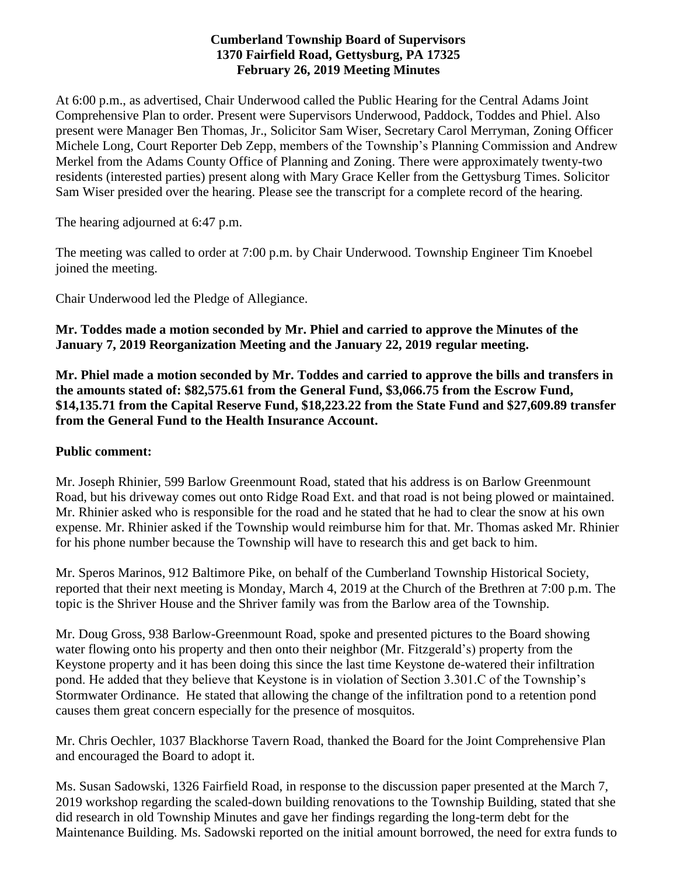# **Cumberland Township Board of Supervisors 1370 Fairfield Road, Gettysburg, PA 17325 February 26, 2019 Meeting Minutes**

At 6:00 p.m., as advertised, Chair Underwood called the Public Hearing for the Central Adams Joint Comprehensive Plan to order. Present were Supervisors Underwood, Paddock, Toddes and Phiel. Also present were Manager Ben Thomas, Jr., Solicitor Sam Wiser, Secretary Carol Merryman, Zoning Officer Michele Long, Court Reporter Deb Zepp, members of the Township's Planning Commission and Andrew Merkel from the Adams County Office of Planning and Zoning. There were approximately twenty-two residents (interested parties) present along with Mary Grace Keller from the Gettysburg Times. Solicitor Sam Wiser presided over the hearing. Please see the transcript for a complete record of the hearing.

The hearing adjourned at 6:47 p.m.

The meeting was called to order at 7:00 p.m. by Chair Underwood. Township Engineer Tim Knoebel joined the meeting.

Chair Underwood led the Pledge of Allegiance.

# **Mr. Toddes made a motion seconded by Mr. Phiel and carried to approve the Minutes of the January 7, 2019 Reorganization Meeting and the January 22, 2019 regular meeting.**

**Mr. Phiel made a motion seconded by Mr. Toddes and carried to approve the bills and transfers in the amounts stated of: \$82,575.61 from the General Fund, \$3,066.75 from the Escrow Fund, \$14,135.71 from the Capital Reserve Fund, \$18,223.22 from the State Fund and \$27,609.89 transfer from the General Fund to the Health Insurance Account.**

## **Public comment:**

Mr. Joseph Rhinier, 599 Barlow Greenmount Road, stated that his address is on Barlow Greenmount Road, but his driveway comes out onto Ridge Road Ext. and that road is not being plowed or maintained. Mr. Rhinier asked who is responsible for the road and he stated that he had to clear the snow at his own expense. Mr. Rhinier asked if the Township would reimburse him for that. Mr. Thomas asked Mr. Rhinier for his phone number because the Township will have to research this and get back to him.

Mr. Speros Marinos, 912 Baltimore Pike, on behalf of the Cumberland Township Historical Society, reported that their next meeting is Monday, March 4, 2019 at the Church of the Brethren at 7:00 p.m. The topic is the Shriver House and the Shriver family was from the Barlow area of the Township.

Mr. Doug Gross, 938 Barlow-Greenmount Road, spoke and presented pictures to the Board showing water flowing onto his property and then onto their neighbor (Mr. Fitzgerald's) property from the Keystone property and it has been doing this since the last time Keystone de-watered their infiltration pond. He added that they believe that Keystone is in violation of Section 3.301.C of the Township's Stormwater Ordinance. He stated that allowing the change of the infiltration pond to a retention pond causes them great concern especially for the presence of mosquitos.

Mr. Chris Oechler, 1037 Blackhorse Tavern Road, thanked the Board for the Joint Comprehensive Plan and encouraged the Board to adopt it.

Ms. Susan Sadowski, 1326 Fairfield Road, in response to the discussion paper presented at the March 7, 2019 workshop regarding the scaled-down building renovations to the Township Building, stated that she did research in old Township Minutes and gave her findings regarding the long-term debt for the Maintenance Building. Ms. Sadowski reported on the initial amount borrowed, the need for extra funds to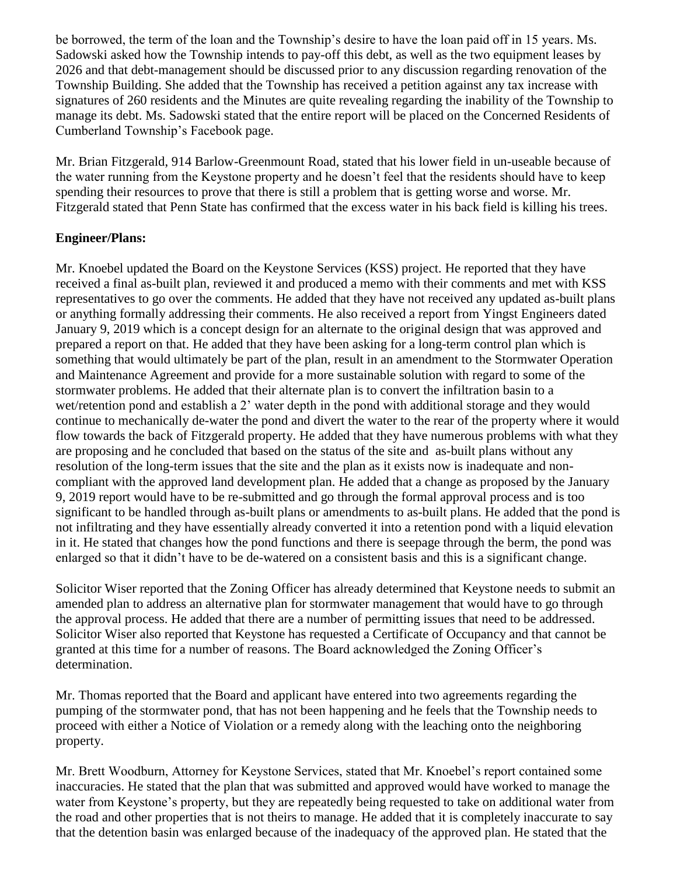be borrowed, the term of the loan and the Township's desire to have the loan paid off in 15 years. Ms. Sadowski asked how the Township intends to pay-off this debt, as well as the two equipment leases by 2026 and that debt-management should be discussed prior to any discussion regarding renovation of the Township Building. She added that the Township has received a petition against any tax increase with signatures of 260 residents and the Minutes are quite revealing regarding the inability of the Township to manage its debt. Ms. Sadowski stated that the entire report will be placed on the Concerned Residents of Cumberland Township's Facebook page.

Mr. Brian Fitzgerald, 914 Barlow-Greenmount Road, stated that his lower field in un-useable because of the water running from the Keystone property and he doesn't feel that the residents should have to keep spending their resources to prove that there is still a problem that is getting worse and worse. Mr. Fitzgerald stated that Penn State has confirmed that the excess water in his back field is killing his trees.

## **Engineer/Plans:**

Mr. Knoebel updated the Board on the Keystone Services (KSS) project. He reported that they have received a final as-built plan, reviewed it and produced a memo with their comments and met with KSS representatives to go over the comments. He added that they have not received any updated as-built plans or anything formally addressing their comments. He also received a report from Yingst Engineers dated January 9, 2019 which is a concept design for an alternate to the original design that was approved and prepared a report on that. He added that they have been asking for a long-term control plan which is something that would ultimately be part of the plan, result in an amendment to the Stormwater Operation and Maintenance Agreement and provide for a more sustainable solution with regard to some of the stormwater problems. He added that their alternate plan is to convert the infiltration basin to a wet/retention pond and establish a 2' water depth in the pond with additional storage and they would continue to mechanically de-water the pond and divert the water to the rear of the property where it would flow towards the back of Fitzgerald property. He added that they have numerous problems with what they are proposing and he concluded that based on the status of the site and as-built plans without any resolution of the long-term issues that the site and the plan as it exists now is inadequate and noncompliant with the approved land development plan. He added that a change as proposed by the January 9, 2019 report would have to be re-submitted and go through the formal approval process and is too significant to be handled through as-built plans or amendments to as-built plans. He added that the pond is not infiltrating and they have essentially already converted it into a retention pond with a liquid elevation in it. He stated that changes how the pond functions and there is seepage through the berm, the pond was enlarged so that it didn't have to be de-watered on a consistent basis and this is a significant change.

Solicitor Wiser reported that the Zoning Officer has already determined that Keystone needs to submit an amended plan to address an alternative plan for stormwater management that would have to go through the approval process. He added that there are a number of permitting issues that need to be addressed. Solicitor Wiser also reported that Keystone has requested a Certificate of Occupancy and that cannot be granted at this time for a number of reasons. The Board acknowledged the Zoning Officer's determination.

Mr. Thomas reported that the Board and applicant have entered into two agreements regarding the pumping of the stormwater pond, that has not been happening and he feels that the Township needs to proceed with either a Notice of Violation or a remedy along with the leaching onto the neighboring property.

Mr. Brett Woodburn, Attorney for Keystone Services, stated that Mr. Knoebel's report contained some inaccuracies. He stated that the plan that was submitted and approved would have worked to manage the water from Keystone's property, but they are repeatedly being requested to take on additional water from the road and other properties that is not theirs to manage. He added that it is completely inaccurate to say that the detention basin was enlarged because of the inadequacy of the approved plan. He stated that the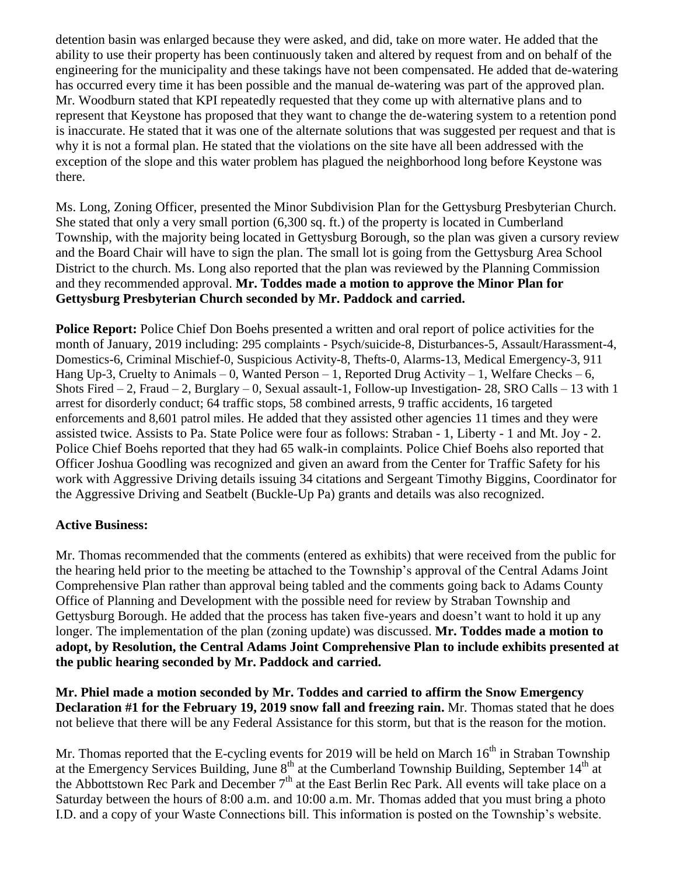detention basin was enlarged because they were asked, and did, take on more water. He added that the ability to use their property has been continuously taken and altered by request from and on behalf of the engineering for the municipality and these takings have not been compensated. He added that de-watering has occurred every time it has been possible and the manual de-watering was part of the approved plan. Mr. Woodburn stated that KPI repeatedly requested that they come up with alternative plans and to represent that Keystone has proposed that they want to change the de-watering system to a retention pond is inaccurate. He stated that it was one of the alternate solutions that was suggested per request and that is why it is not a formal plan. He stated that the violations on the site have all been addressed with the exception of the slope and this water problem has plagued the neighborhood long before Keystone was there.

Ms. Long, Zoning Officer, presented the Minor Subdivision Plan for the Gettysburg Presbyterian Church. She stated that only a very small portion (6,300 sq. ft.) of the property is located in Cumberland Township, with the majority being located in Gettysburg Borough, so the plan was given a cursory review and the Board Chair will have to sign the plan. The small lot is going from the Gettysburg Area School District to the church. Ms. Long also reported that the plan was reviewed by the Planning Commission and they recommended approval. **Mr. Toddes made a motion to approve the Minor Plan for Gettysburg Presbyterian Church seconded by Mr. Paddock and carried.**

**Police Report:** Police Chief Don Boehs presented a written and oral report of police activities for the month of January, 2019 including: 295 complaints - Psych/suicide-8, Disturbances-5, Assault/Harassment-4, Domestics-6, Criminal Mischief-0, Suspicious Activity-8, Thefts-0, Alarms-13, Medical Emergency-3, 911 Hang Up-3, Cruelty to Animals – 0, Wanted Person – 1, Reported Drug Activity – 1, Welfare Checks – 6, Shots Fired  $-2$ , Fraud  $-2$ , Burglary  $-0$ , Sexual assault-1, Follow-up Investigation- 28, SRO Calls  $-13$  with 1 arrest for disorderly conduct; 64 traffic stops, 58 combined arrests, 9 traffic accidents, 16 targeted enforcements and 8,601 patrol miles. He added that they assisted other agencies 11 times and they were assisted twice. Assists to Pa. State Police were four as follows: Straban - 1, Liberty - 1 and Mt. Joy - 2. Police Chief Boehs reported that they had 65 walk-in complaints. Police Chief Boehs also reported that Officer Joshua Goodling was recognized and given an award from the Center for Traffic Safety for his work with Aggressive Driving details issuing 34 citations and Sergeant Timothy Biggins, Coordinator for the Aggressive Driving and Seatbelt (Buckle-Up Pa) grants and details was also recognized.

## **Active Business:**

Mr. Thomas recommended that the comments (entered as exhibits) that were received from the public for the hearing held prior to the meeting be attached to the Township's approval of the Central Adams Joint Comprehensive Plan rather than approval being tabled and the comments going back to Adams County Office of Planning and Development with the possible need for review by Straban Township and Gettysburg Borough. He added that the process has taken five-years and doesn't want to hold it up any longer. The implementation of the plan (zoning update) was discussed. **Mr. Toddes made a motion to adopt, by Resolution, the Central Adams Joint Comprehensive Plan to include exhibits presented at the public hearing seconded by Mr. Paddock and carried.**

**Mr. Phiel made a motion seconded by Mr. Toddes and carried to affirm the Snow Emergency Declaration #1 for the February 19, 2019 snow fall and freezing rain.** Mr. Thomas stated that he does not believe that there will be any Federal Assistance for this storm, but that is the reason for the motion.

Mr. Thomas reported that the E-cycling events for 2019 will be held on March  $16<sup>th</sup>$  in Straban Township at the Emergency Services Building, June  $8<sup>th</sup>$  at the Cumberland Township Building, September  $14<sup>th</sup>$  at the Abbottstown Rec Park and December 7<sup>th</sup> at the East Berlin Rec Park. All events will take place on a Saturday between the hours of 8:00 a.m. and 10:00 a.m. Mr. Thomas added that you must bring a photo I.D. and a copy of your Waste Connections bill. This information is posted on the Township's website.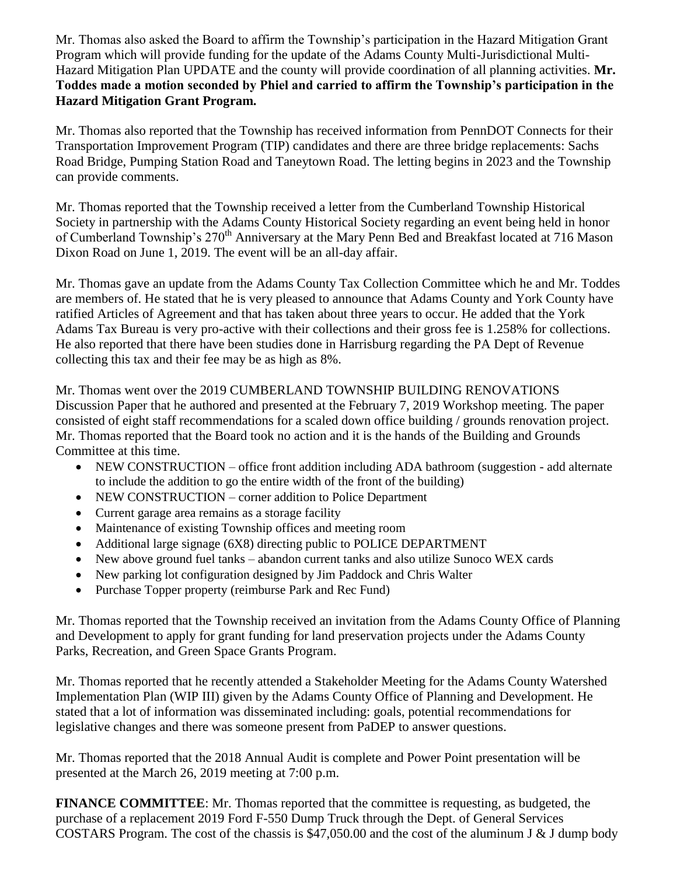Mr. Thomas also asked the Board to affirm the Township's participation in the Hazard Mitigation Grant Program which will provide funding for the update of the Adams County Multi-Jurisdictional Multi-Hazard Mitigation Plan UPDATE and the county will provide coordination of all planning activities. **Mr. Toddes made a motion seconded by Phiel and carried to affirm the Township's participation in the Hazard Mitigation Grant Program.**

Mr. Thomas also reported that the Township has received information from PennDOT Connects for their Transportation Improvement Program (TIP) candidates and there are three bridge replacements: Sachs Road Bridge, Pumping Station Road and Taneytown Road. The letting begins in 2023 and the Township can provide comments.

Mr. Thomas reported that the Township received a letter from the Cumberland Township Historical Society in partnership with the Adams County Historical Society regarding an event being held in honor of Cumberland Township's 270<sup>th</sup> Anniversary at the Mary Penn Bed and Breakfast located at 716 Mason Dixon Road on June 1, 2019. The event will be an all-day affair.

Mr. Thomas gave an update from the Adams County Tax Collection Committee which he and Mr. Toddes are members of. He stated that he is very pleased to announce that Adams County and York County have ratified Articles of Agreement and that has taken about three years to occur. He added that the York Adams Tax Bureau is very pro-active with their collections and their gross fee is 1.258% for collections. He also reported that there have been studies done in Harrisburg regarding the PA Dept of Revenue collecting this tax and their fee may be as high as 8%.

Mr. Thomas went over the 2019 CUMBERLAND TOWNSHIP BUILDING RENOVATIONS Discussion Paper that he authored and presented at the February 7, 2019 Workshop meeting. The paper consisted of eight staff recommendations for a scaled down office building / grounds renovation project. Mr. Thomas reported that the Board took no action and it is the hands of the Building and Grounds Committee at this time.

- NEW CONSTRUCTION office front addition including ADA bathroom (suggestion add alternate to include the addition to go the entire width of the front of the building)
- NEW CONSTRUCTION corner addition to Police Department
- Current garage area remains as a storage facility
- Maintenance of existing Township offices and meeting room
- Additional large signage (6X8) directing public to POLICE DEPARTMENT
- New above ground fuel tanks abandon current tanks and also utilize Sunoco WEX cards
- New parking lot configuration designed by Jim Paddock and Chris Walter
- Purchase Topper property (reimburse Park and Rec Fund)

Mr. Thomas reported that the Township received an invitation from the Adams County Office of Planning and Development to apply for grant funding for land preservation projects under the Adams County Parks, Recreation, and Green Space Grants Program.

Mr. Thomas reported that he recently attended a Stakeholder Meeting for the Adams County Watershed Implementation Plan (WIP III) given by the Adams County Office of Planning and Development. He stated that a lot of information was disseminated including: goals, potential recommendations for legislative changes and there was someone present from PaDEP to answer questions.

Mr. Thomas reported that the 2018 Annual Audit is complete and Power Point presentation will be presented at the March 26, 2019 meeting at 7:00 p.m.

**FINANCE COMMITTEE**: Mr. Thomas reported that the committee is requesting, as budgeted, the purchase of a replacement 2019 Ford F-550 Dump Truck through the Dept. of General Services COSTARS Program. The cost of the chassis is \$47,050.00 and the cost of the aluminum J & J dump body